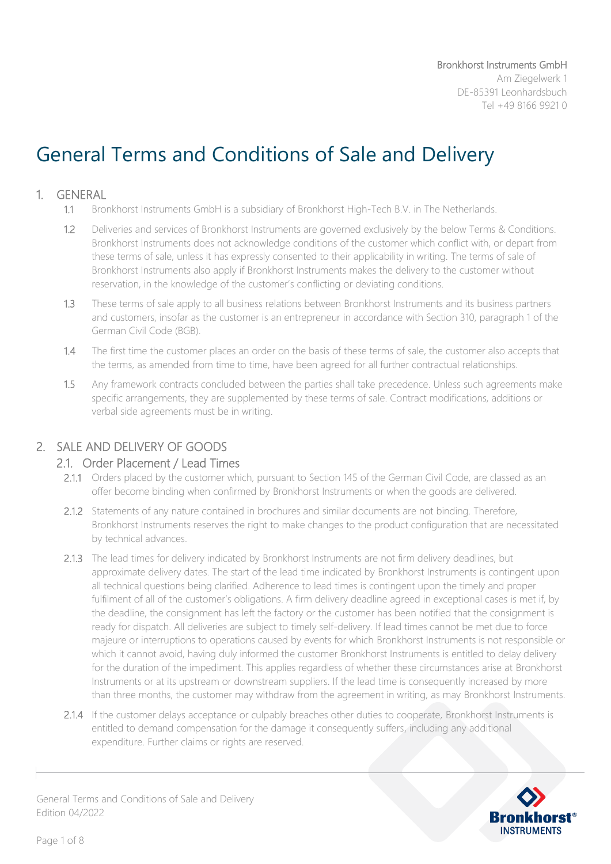# General Terms and Conditions of Sale and Delivery

#### 1. GENERAL

- 1.1 Bronkhorst Instruments GmbH is a subsidiary of Bronkhorst High-Tech B.V. in The Netherlands.
- 1.2 Deliveries and services of Bronkhorst Instruments are governed exclusively by the below Terms & Conditions. Bronkhorst Instruments does not acknowledge conditions of the customer which conflict with, or depart from these terms of sale, unless it has expressly consented to their applicability in writing. The terms of sale of Bronkhorst Instruments also apply if Bronkhorst Instruments makes the delivery to the customer without reservation, in the knowledge of the customer's conflicting or deviating conditions.
- 1.3 These terms of sale apply to all business relations between Bronkhorst Instruments and its business partners and customers, insofar as the customer is an entrepreneur in accordance with Section 310, paragraph 1 of the German Civil Code (BGB).
- 1.4 The first time the customer places an order on the basis of these terms of sale, the customer also accepts that the terms, as amended from time to time, have been agreed for all further contractual relationships.
- 1.5 Any framework contracts concluded between the parties shall take precedence. Unless such agreements make specific arrangements, they are supplemented by these terms of sale. Contract modifications, additions or verbal side agreements must be in writing.

## 2. SALE AND DELIVERY OF GOODS

#### 2.1. Order Placement / Lead Times

- 2.1.1 Orders placed by the customer which, pursuant to Section 145 of the German Civil Code, are classed as an offer become binding when confirmed by Bronkhorst Instruments or when the goods are delivered.
- 2.1.2 Statements of any nature contained in brochures and similar documents are not binding. Therefore, Bronkhorst Instruments reserves the right to make changes to the product configuration that are necessitated by technical advances.
- 2.1.3 The lead times for delivery indicated by Bronkhorst Instruments are not firm delivery deadlines, but approximate delivery dates. The start of the lead time indicated by Bronkhorst Instruments is contingent upon all technical questions being clarified. Adherence to lead times is contingent upon the timely and proper fulfilment of all of the customer's obligations. A firm delivery deadline agreed in exceptional cases is met if, by the deadline, the consignment has left the factory or the customer has been notified that the consignment is ready for dispatch. All deliveries are subject to timely self-delivery. If lead times cannot be met due to force majeure or interruptions to operations caused by events for which Bronkhorst Instruments is not responsible or which it cannot avoid, having duly informed the customer Bronkhorst Instruments is entitled to delay delivery for the duration of the impediment. This applies regardless of whether these circumstances arise at Bronkhorst Instruments or at its upstream or downstream suppliers. If the lead time is consequently increased by more than three months, the customer may withdraw from the agreement in writing, as may Bronkhorst Instruments.
- 2.1.4 If the customer delays acceptance or culpably breaches other duties to cooperate, Bronkhorst Instruments is entitled to demand compensation for the damage it consequently suffers, including any additional expenditure. Further claims or rights are reserved.

**INSTRUMENTS**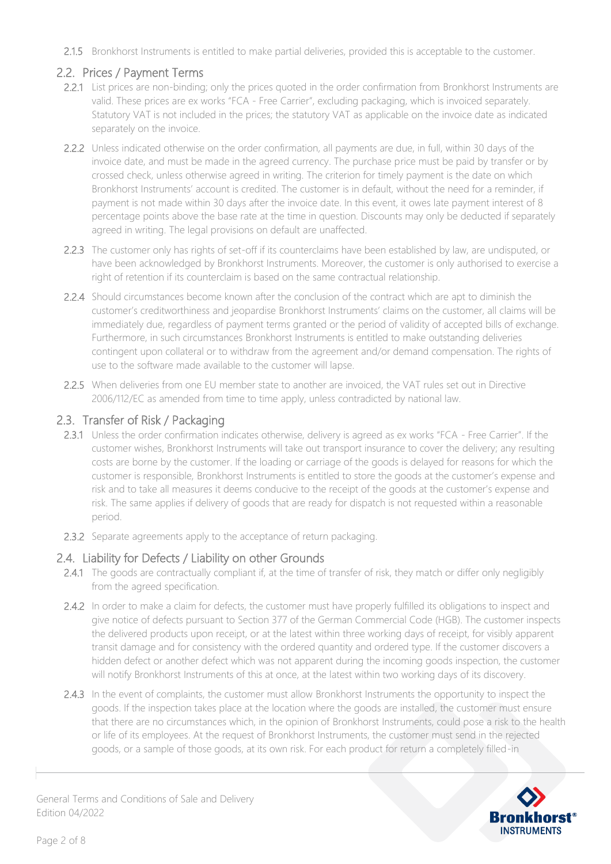2.1.5 Bronkhorst Instruments is entitled to make partial deliveries, provided this is acceptable to the customer.

## 2.2. Prices / Payment Terms

- 2.2.1 List prices are non-binding; only the prices quoted in the order confirmation from Bronkhorst Instruments are valid. These prices are ex works "FCA - Free Carrier", excluding packaging, which is invoiced separately. Statutory VAT is not included in the prices; the statutory VAT as applicable on the invoice date as indicated separately on the invoice.
- 2.2.2 Unless indicated otherwise on the order confirmation, all payments are due, in full, within 30 days of the invoice date, and must be made in the agreed currency. The purchase price must be paid by transfer or by crossed check, unless otherwise agreed in writing. The criterion for timely payment is the date on which Bronkhorst Instruments' account is credited. The customer is in default, without the need for a reminder, if payment is not made within 30 days after the invoice date. In this event, it owes late payment interest of 8 percentage points above the base rate at the time in question. Discounts may only be deducted if separately agreed in writing. The legal provisions on default are unaffected.
- 2.2.3 The customer only has rights of set-off if its counterclaims have been established by law, are undisputed, or have been acknowledged by Bronkhorst Instruments. Moreover, the customer is only authorised to exercise a right of retention if its counterclaim is based on the same contractual relationship.
- 2.2.4 Should circumstances become known after the conclusion of the contract which are apt to diminish the customer's creditworthiness and jeopardise Bronkhorst Instruments' claims on the customer, all claims will be immediately due, regardless of payment terms granted or the period of validity of accepted bills of exchange. Furthermore, in such circumstances Bronkhorst Instruments is entitled to make outstanding deliveries contingent upon collateral or to withdraw from the agreement and/or demand compensation. The rights of use to the software made available to the customer will lapse.
- 2.2.5 When deliveries from one EU member state to another are invoiced, the VAT rules set out in Directive 2006/112/EC as amended from time to time apply, unless contradicted by national law.

## 2.3. Transfer of Risk / Packaging

- 2.3.1 Unless the order confirmation indicates otherwise, delivery is agreed as ex works "FCA Free Carrier". If the customer wishes, Bronkhorst Instruments will take out transport insurance to cover the delivery; any resulting costs are borne by the customer. If the loading or carriage of the goods is delayed for reasons for which the customer is responsible, Bronkhorst Instruments is entitled to store the goods at the customer's expense and risk and to take all measures it deems conducive to the receipt of the goods at the customer's expense and risk. The same applies if delivery of goods that are ready for dispatch is not requested within a reasonable period.
- 2.3.2 Separate agreements apply to the acceptance of return packaging.

## 2.4. Liability for Defects / Liability on other Grounds

- 2.4.1 The goods are contractually compliant if, at the time of transfer of risk, they match or differ only negligibly from the agreed specification.
- 2.4.2 In order to make a claim for defects, the customer must have properly fulfilled its obligations to inspect and give notice of defects pursuant to Section 377 of the German Commercial Code (HGB). The customer inspects the delivered products upon receipt, or at the latest within three working days of receipt, for visibly apparent transit damage and for consistency with the ordered quantity and ordered type. If the customer discovers a hidden defect or another defect which was not apparent during the incoming goods inspection, the customer will notify Bronkhorst Instruments of this at once, at the latest within two working days of its discovery.
- 2.4.3 In the event of complaints, the customer must allow Bronkhorst Instruments the opportunity to inspect the goods. If the inspection takes place at the location where the goods are installed, the customer must ensure that there are no circumstances which, in the opinion of Bronkhorst Instruments, could pose a risk to the health or life of its employees. At the request of Bronkhorst Instruments, the customer must send in the rejected goods, or a sample of those goods, at its own risk. For each product for return a completely filled-in

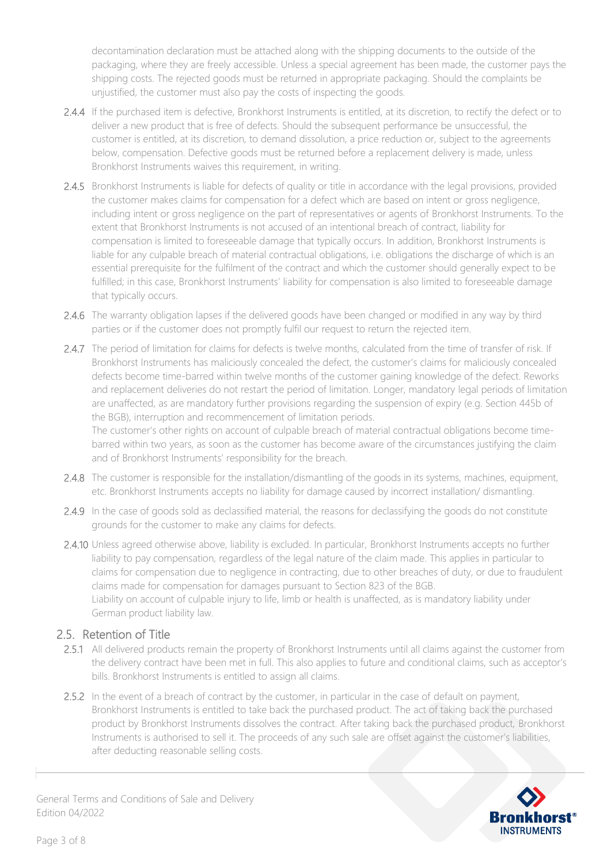decontamination declaration must be attached along with the shipping documents to the outside of the packaging, where they are freely accessible. Unless a special agreement has been made, the customer pays the shipping costs. The rejected goods must be returned in appropriate packaging. Should the complaints be unjustified, the customer must also pay the costs of inspecting the goods.

- 2.4.4 If the purchased item is defective, Bronkhorst Instruments is entitled, at its discretion, to rectify the defect or to deliver a new product that is free of defects. Should the subsequent performance be unsuccessful, the customer is entitled, at its discretion, to demand dissolution, a price reduction or, subject to the agreements below, compensation. Defective goods must be returned before a replacement delivery is made, unless Bronkhorst Instruments waives this requirement, in writing.
- 2.4.5 Bronkhorst Instruments is liable for defects of quality or title in accordance with the legal provisions, provided the customer makes claims for compensation for a defect which are based on intent or gross negligence, including intent or gross negligence on the part of representatives or agents of Bronkhorst Instruments. To the extent that Bronkhorst Instruments is not accused of an intentional breach of contract, liability for compensation is limited to foreseeable damage that typically occurs. In addition, Bronkhorst Instruments is liable for any culpable breach of material contractual obligations, i.e. obligations the discharge of which is an essential prerequisite for the fulfilment of the contract and which the customer should generally expect to be fulfilled; in this case, Bronkhorst Instruments' liability for compensation is also limited to foreseeable damage that typically occurs.
- 2.4.6 The warranty obligation lapses if the delivered goods have been changed or modified in any way by third parties or if the customer does not promptly fulfil our request to return the rejected item.
- 2.4.7 The period of limitation for claims for defects is twelve months, calculated from the time of transfer of risk. If Bronkhorst Instruments has maliciously concealed the defect, the customer's claims for maliciously concealed defects become time-barred within twelve months of the customer gaining knowledge of the defect. Reworks and replacement deliveries do not restart the period of limitation. Longer, mandatory legal periods of limitation are unaffected, as are mandatory further provisions regarding the suspension of expiry (e.g. Section 445b of the BGB), interruption and recommencement of limitation periods. The customer's other rights on account of culpable breach of material contractual obligations become time-

barred within two years, as soon as the customer has become aware of the circumstances justifying the claim and of Bronkhorst Instruments' responsibility for the breach.

- 2.4.8 The customer is responsible for the installation/dismantling of the goods in its systems, machines, equipment, etc. Bronkhorst Instruments accepts no liability for damage caused by incorrect installation/ dismantling.
- 2.4.9 In the case of goods sold as declassified material, the reasons for declassifying the goods do not constitute grounds for the customer to make any claims for defects.
- 2.4.10 Unless agreed otherwise above, liability is excluded. In particular, Bronkhorst Instruments accepts no further liability to pay compensation, regardless of the legal nature of the claim made. This applies in particular to claims for compensation due to negligence in contracting, due to other breaches of duty, or due to fraudulent claims made for compensation for damages pursuant to Section 823 of the BGB. Liability on account of culpable injury to life, limb or health is unaffected, as is mandatory liability under German product liability law.

## 2.5. Retention of Title

- 2.5.1 All delivered products remain the property of Bronkhorst Instruments until all claims against the customer from the delivery contract have been met in full. This also applies to future and conditional claims, such as acceptor's bills. Bronkhorst Instruments is entitled to assign all claims.
- 2.5.2 In the event of a breach of contract by the customer, in particular in the case of default on payment, Bronkhorst Instruments is entitled to take back the purchased product. The act of taking back the purchased product by Bronkhorst Instruments dissolves the contract. After taking back the purchased product, Bronkhorst Instruments is authorised to sell it. The proceeds of any such sale are offset against the customer's liabilities, after deducting reasonable selling costs.

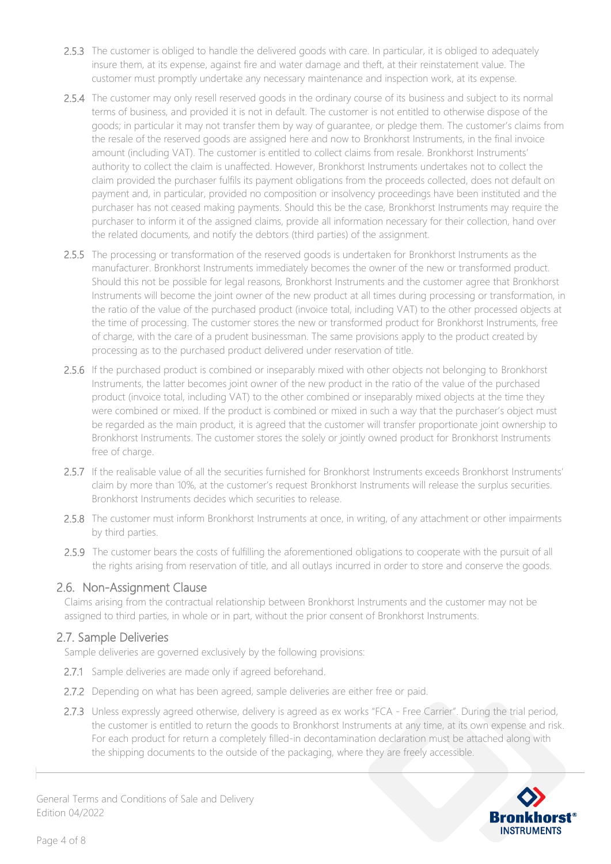- 2.5.3 The customer is obliged to handle the delivered goods with care. In particular, it is obliged to adequately insure them, at its expense, against fire and water damage and theft, at their reinstatement value. The customer must promptly undertake any necessary maintenance and inspection work, at its expense.
- 2.5.4 The customer may only resell reserved goods in the ordinary course of its business and subject to its normal terms of business, and provided it is not in default. The customer is not entitled to otherwise dispose of the goods; in particular it may not transfer them by way of guarantee, or pledge them. The customer's claims from the resale of the reserved goods are assigned here and now to Bronkhorst Instruments, in the final invoice amount (including VAT). The customer is entitled to collect claims from resale. Bronkhorst Instruments' authority to collect the claim is unaffected. However, Bronkhorst Instruments undertakes not to collect the claim provided the purchaser fulfils its payment obligations from the proceeds collected, does not default on payment and, in particular, provided no composition or insolvency proceedings have been instituted and the purchaser has not ceased making payments. Should this be the case, Bronkhorst Instruments may require the purchaser to inform it of the assigned claims, provide all information necessary for their collection, hand over the related documents, and notify the debtors (third parties) of the assignment.
- 2.5.5 The processing or transformation of the reserved goods is undertaken for Bronkhorst Instruments as the manufacturer. Bronkhorst Instruments immediately becomes the owner of the new or transformed product. Should this not be possible for legal reasons, Bronkhorst Instruments and the customer agree that Bronkhorst Instruments will become the joint owner of the new product at all times during processing or transformation, in the ratio of the value of the purchased product (invoice total, including VAT) to the other processed objects at the time of processing. The customer stores the new or transformed product for Bronkhorst Instruments, free of charge, with the care of a prudent businessman. The same provisions apply to the product created by processing as to the purchased product delivered under reservation of title.
- 2.5.6 If the purchased product is combined or inseparably mixed with other objects not belonging to Bronkhorst Instruments, the latter becomes joint owner of the new product in the ratio of the value of the purchased product (invoice total, including VAT) to the other combined or inseparably mixed objects at the time they were combined or mixed. If the product is combined or mixed in such a way that the purchaser's object must be regarded as the main product, it is agreed that the customer will transfer proportionate joint ownership to Bronkhorst Instruments. The customer stores the solely or jointly owned product for Bronkhorst Instruments free of charge.
- 2.5.7 If the realisable value of all the securities furnished for Bronkhorst Instruments exceeds Bronkhorst Instruments' claim by more than 10%, at the customer's request Bronkhorst Instruments will release the surplus securities. Bronkhorst Instruments decides which securities to release.
- 2.5.8 The customer must inform Bronkhorst Instruments at once, in writing, of any attachment or other impairments by third parties.
- 2.5.9 The customer bears the costs of fulfilling the aforementioned obligations to cooperate with the pursuit of all the rights arising from reservation of title, and all outlays incurred in order to store and conserve the goods.

#### 2.6. Non-Assignment Clause

Claims arising from the contractual relationship between Bronkhorst Instruments and the customer may not be assigned to third parties, in whole or in part, without the prior consent of Bronkhorst Instruments.

## 2.7. Sample Deliveries

Sample deliveries are governed exclusively by the following provisions:

- 2.7.1 Sample deliveries are made only if agreed beforehand.
- 2.7.2 Depending on what has been agreed, sample deliveries are either free or paid.
- 2.7.3 Unless expressly agreed otherwise, delivery is agreed as ex works "FCA Free Carrier". During the trial period, the customer is entitled to return the goods to Bronkhorst Instruments at any time, at its own expense and risk. For each product for return a completely filled-in decontamination declaration must be attached along with the shipping documents to the outside of the packaging, where they are freely accessible.

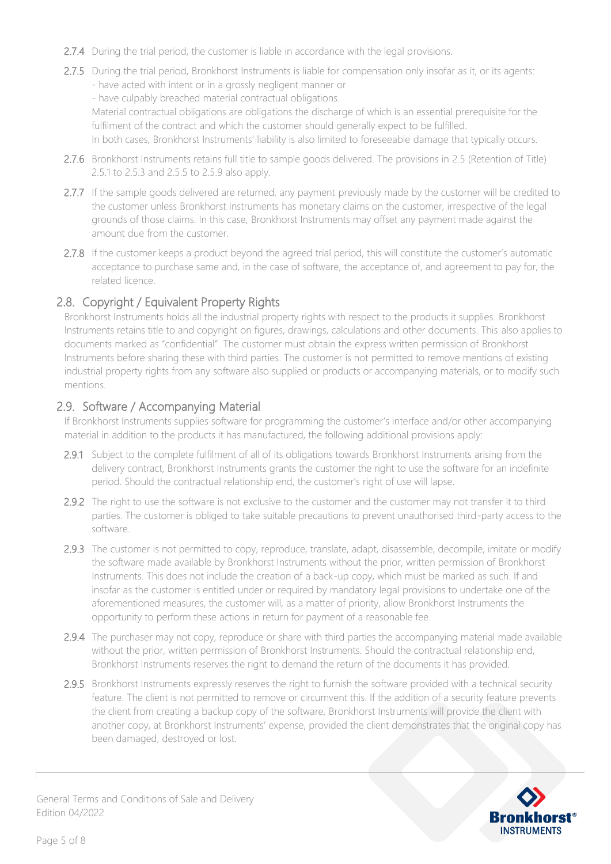- 2.7.4 During the trial period, the customer is liable in accordance with the legal provisions.
- 2.7.5 During the trial period, Bronkhorst Instruments is liable for compensation only insofar as it, or its agents: - have acted with intent or in a grossly negligent manner or
	- have culpably breached material contractual obligations.

Material contractual obligations are obligations the discharge of which is an essential prerequisite for the fulfilment of the contract and which the customer should generally expect to be fulfilled.

In both cases, Bronkhorst Instruments' liability is also limited to foreseeable damage that typically occurs.

- 2.7.6 Bronkhorst Instruments retains full title to sample goods delivered. The provisions in 2.5 (Retention of Title) 2.5.1 to 2.5.3 and 2.5.5 to 2.5.9 also apply.
- 2.7.7 If the sample goods delivered are returned, any payment previously made by the customer will be credited to the customer unless Bronkhorst Instruments has monetary claims on the customer, irrespective of the legal grounds of those claims. In this case, Bronkhorst Instruments may offset any payment made against the amount due from the customer.
- 2.7.8 If the customer keeps a product beyond the agreed trial period, this will constitute the customer's automatic acceptance to purchase same and, in the case of software, the acceptance of, and agreement to pay for, the related licence.

### 2.8. Copyright / Equivalent Property Rights

Bronkhorst Instruments holds all the industrial property rights with respect to the products it supplies. Bronkhorst Instruments retains title to and copyright on figures, drawings, calculations and other documents. This also applies to documents marked as "confidential". The customer must obtain the express written permission of Bronkhorst Instruments before sharing these with third parties. The customer is not permitted to remove mentions of existing industrial property rights from any software also supplied or products or accompanying materials, or to modify such mentions.

### 2.9. Software / Accompanying Material

If Bronkhorst Instruments supplies software for programming the customer's interface and/or other accompanying material in addition to the products it has manufactured, the following additional provisions apply:

- 2.9.1 Subject to the complete fulfilment of all of its obligations towards Bronkhorst Instruments arising from the delivery contract, Bronkhorst Instruments grants the customer the right to use the software for an indefinite period. Should the contractual relationship end, the customer's right of use will lapse.
- 2.9.2 The right to use the software is not exclusive to the customer and the customer may not transfer it to third parties. The customer is obliged to take suitable precautions to prevent unauthorised third-party access to the software.
- 2.9.3 The customer is not permitted to copy, reproduce, translate, adapt, disassemble, decompile, imitate or modify the software made available by Bronkhorst Instruments without the prior, written permission of Bronkhorst Instruments. This does not include the creation of a back-up copy, which must be marked as such. If and insofar as the customer is entitled under or required by mandatory legal provisions to undertake one of the aforementioned measures, the customer will, as a matter of priority, allow Bronkhorst Instruments the opportunity to perform these actions in return for payment of a reasonable fee.
- 2.9.4 The purchaser may not copy, reproduce or share with third parties the accompanying material made available without the prior, written permission of Bronkhorst Instruments. Should the contractual relationship end, Bronkhorst Instruments reserves the right to demand the return of the documents it has provided.
- 2.9.5 Bronkhorst Instruments expressly reserves the right to furnish the software provided with a technical security feature. The client is not permitted to remove or circumvent this. If the addition of a security feature prevents the client from creating a backup copy of the software, Bronkhorst Instruments will provide the client with another copy, at Bronkhorst Instruments' expense, provided the client demonstrates that the original copy has been damaged, destroyed or lost.

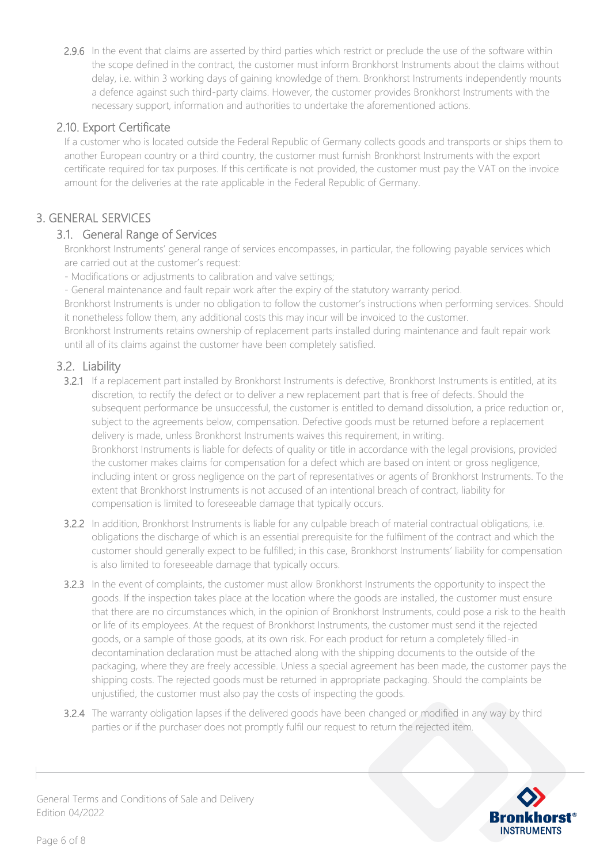2.9.6 In the event that claims are asserted by third parties which restrict or preclude the use of the software within the scope defined in the contract, the customer must inform Bronkhorst Instruments about the claims without delay, i.e. within 3 working days of gaining knowledge of them. Bronkhorst Instruments independently mounts a defence against such third-party claims. However, the customer provides Bronkhorst Instruments with the necessary support, information and authorities to undertake the aforementioned actions.

## 2.10. Export Certificate

If a customer who is located outside the Federal Republic of Germany collects goods and transports or ships them to another European country or a third country, the customer must furnish Bronkhorst Instruments with the export certificate required for tax purposes. If this certificate is not provided, the customer must pay the VAT on the invoice amount for the deliveries at the rate applicable in the Federal Republic of Germany.

## 3. GENERAL SERVICES

## 3.1. General Range of Services

Bronkhorst Instruments' general range of services encompasses, in particular, the following payable services which are carried out at the customer's request:

- Modifications or adjustments to calibration and valve settings;

- General maintenance and fault repair work after the expiry of the statutory warranty period.

Bronkhorst Instruments is under no obligation to follow the customer's instructions when performing services. Should it nonetheless follow them, any additional costs this may incur will be invoiced to the customer.

Bronkhorst Instruments retains ownership of replacement parts installed during maintenance and fault repair work until all of its claims against the customer have been completely satisfied.

## 3.2. Liability

- 3.2.1 If a replacement part installed by Bronkhorst Instruments is defective, Bronkhorst Instruments is entitled, at its discretion, to rectify the defect or to deliver a new replacement part that is free of defects. Should the subsequent performance be unsuccessful, the customer is entitled to demand dissolution, a price reduction or, subject to the agreements below, compensation. Defective goods must be returned before a replacement delivery is made, unless Bronkhorst Instruments waives this requirement, in writing. Bronkhorst Instruments is liable for defects of quality or title in accordance with the legal provisions, provided the customer makes claims for compensation for a defect which are based on intent or gross negligence, including intent or gross negligence on the part of representatives or agents of Bronkhorst Instruments. To the extent that Bronkhorst Instruments is not accused of an intentional breach of contract, liability for compensation is limited to foreseeable damage that typically occurs.
- 3.2.2 In addition, Bronkhorst Instruments is liable for any culpable breach of material contractual obligations, i.e. obligations the discharge of which is an essential prerequisite for the fulfilment of the contract and which the customer should generally expect to be fulfilled; in this case, Bronkhorst Instruments' liability for compensation is also limited to foreseeable damage that typically occurs.
- 3.2.3 In the event of complaints, the customer must allow Bronkhorst Instruments the opportunity to inspect the goods. If the inspection takes place at the location where the goods are installed, the customer must ensure that there are no circumstances which, in the opinion of Bronkhorst Instruments, could pose a risk to the health or life of its employees. At the request of Bronkhorst Instruments, the customer must send it the rejected goods, or a sample of those goods, at its own risk. For each product for return a completely filled-in decontamination declaration must be attached along with the shipping documents to the outside of the packaging, where they are freely accessible. Unless a special agreement has been made, the customer pays the shipping costs. The rejected goods must be returned in appropriate packaging. Should the complaints be unjustified, the customer must also pay the costs of inspecting the goods.
- 3.2.4 The warranty obligation lapses if the delivered goods have been changed or modified in any way by third parties or if the purchaser does not promptly fulfil our request to return the rejected item.

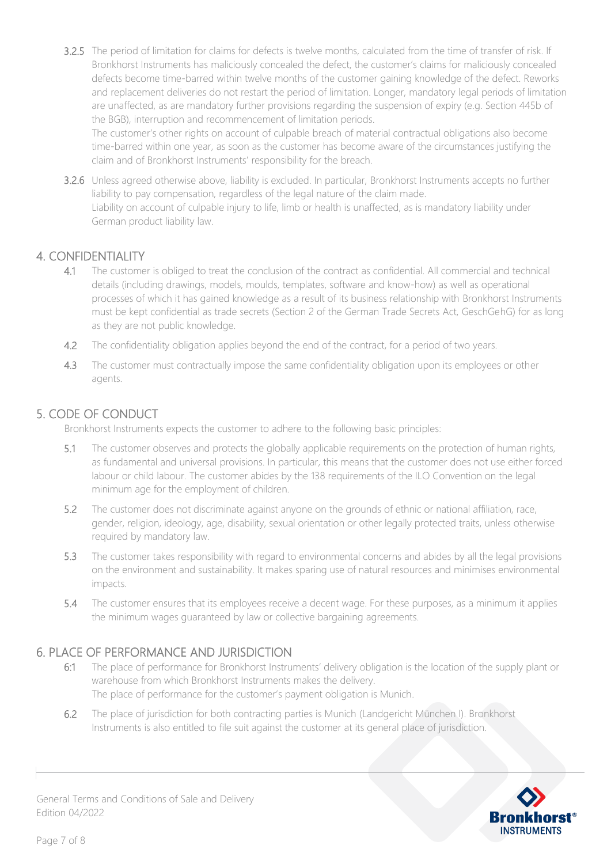3.2.5 The period of limitation for claims for defects is twelve months, calculated from the time of transfer of risk. If Bronkhorst Instruments has maliciously concealed the defect, the customer's claims for maliciously concealed defects become time-barred within twelve months of the customer gaining knowledge of the defect. Reworks and replacement deliveries do not restart the period of limitation. Longer, mandatory legal periods of limitation are unaffected, as are mandatory further provisions regarding the suspension of expiry (e.g. Section 445b of the BGB), interruption and recommencement of limitation periods.

The customer's other rights on account of culpable breach of material contractual obligations also become time-barred within one year, as soon as the customer has become aware of the circumstances justifying the claim and of Bronkhorst Instruments' responsibility for the breach.

3.2.6 Unless agreed otherwise above, liability is excluded. In particular, Bronkhorst Instruments accepts no further liability to pay compensation, regardless of the legal nature of the claim made. Liability on account of culpable injury to life, limb or health is unaffected, as is mandatory liability under German product liability law.

## 4. CONFIDENTIALITY

- 4.1 The customer is obliged to treat the conclusion of the contract as confidential. All commercial and technical details (including drawings, models, moulds, templates, software and know-how) as well as operational processes of which it has gained knowledge as a result of its business relationship with Bronkhorst Instruments must be kept confidential as trade secrets (Section 2 of the German Trade Secrets Act, GeschGehG) for as long as they are not public knowledge.
- 4.2 The confidentiality obligation applies beyond the end of the contract, for a period of two years.
- 4.3 The customer must contractually impose the same confidentiality obligation upon its employees or other agents.

### 5. CODE OF CONDUCT

Bronkhorst Instruments expects the customer to adhere to the following basic principles:

- 5.1 The customer observes and protects the globally applicable requirements on the protection of human rights, as fundamental and universal provisions. In particular, this means that the customer does not use either forced labour or child labour. The customer abides by the 138 requirements of the ILO Convention on the legal minimum age for the employment of children.
- 5.2 The customer does not discriminate against anyone on the grounds of ethnic or national affiliation, race, gender, religion, ideology, age, disability, sexual orientation or other legally protected traits, unless otherwise required by mandatory law.
- 5.3 The customer takes responsibility with regard to environmental concerns and abides by all the legal provisions on the environment and sustainability. It makes sparing use of natural resources and minimises environmental impacts.
- 5.4 The customer ensures that its employees receive a decent wage. For these purposes, as a minimum it applies the minimum wages guaranteed by law or collective bargaining agreements.

#### 6. PLACE OF PERFORMANCE AND JURISDICTION

- 6:1 The place of performance for Bronkhorst Instruments' delivery obligation is the location of the supply plant or warehouse from which Bronkhorst Instruments makes the delivery. The place of performance for the customer's payment obligation is Munich.
- 6.2 The place of jurisdiction for both contracting parties is Munich (Landgericht München I). Bronkhorst Instruments is also entitled to file suit against the customer at its general place of jurisdiction.